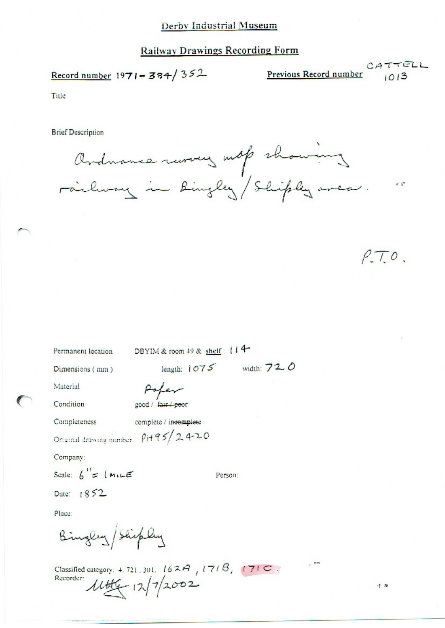### Derby Industrial Museum

## **Railway Drawings Recording Form**

Record number 1971-384/352

Previous Record number

Title

**Brief Description** 

Ardnance ruroury mot showing

 $PT0.$ 

 $\frac{1}{2}$ 

Permanent location DBYIM & room 49 & shelf : 114

Dimensions (mm)

Material

Condition

Poper good / fair / peor

Completeness

complete / ineomplete

Original drawing number  $p_1 + q_2$  2420

Company:

Scale:  $6' = 14.125$ 

Person:

length:  $1075$  width:  $720$ 

Date: 1852

Place:

Bingley/Shipley

Classified category: 4, 721, 301,  $162A$ ,  $171B$ ,  $171C$ . Recorder 14th 12/7/2002

 $\eta$  is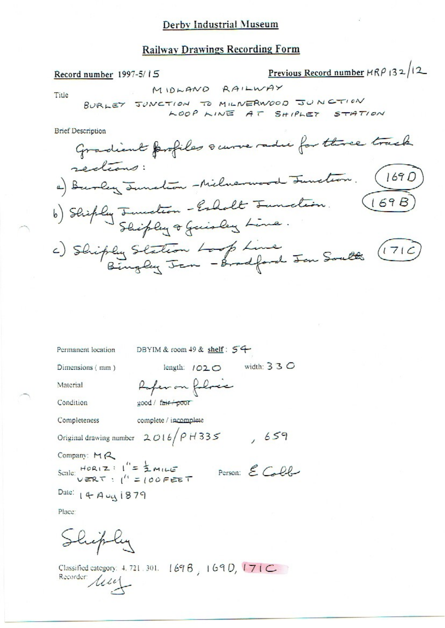### Derby Industrial Museum

#### **Railway Drawings Recording Form**

Previous Record number  $HRP$  132/12 Record number 1997-5/15 MIDLAND RAILWAY Title BURLEY JUNCTION TO MILIVERWOOD JUNCTION LOOP LINE AT SHIPLET STATION **Brief Description** Gradient profiles sauve radie for three track redians: a) Burley Junction -Milnerwood Junction. (1690) b) Shiply Junction - Esholt Junction. c) Shiply Station Loop Line<br>Bingley Jan - Bradford Jan South (1716) Permanent location DBYIM & room 49 & shelf:  $54$ length: 1020 width: 330 Dimensions (mm) Refer on followice Material Condition good / fair poor complete / incomplete Completeness Original drawing number  $2016/P$  H 335 , 659 Company:  $M_{\alpha}$ Scale:  $HORIZ : I'' = \frac{1}{2}MIL = T$ <br>
Person:  $E$  Coll Date:  $144441879$ 

Place:

Shiply

Classified category: 4, 721, 301. [69] 690, 171C Recorder / 114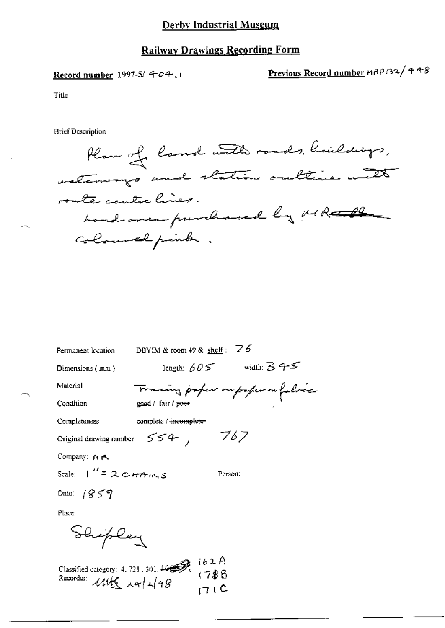# **Railway Drawings Recording Form**

Record number 1997-5/ 404.1

Previous Record number HRP132/448

Title

**Brief Description** 

| Plan of land with roads, huildings, |
|-------------------------------------|
| waterways and station outtine with  |
| route centre lines.                 |
| hand area purchased by MR           |
| coloured pender.                    |

| Permanent location              | DBYIM & room 49 & shelf : $\overline{76}$ |                                  |
|---------------------------------|-------------------------------------------|----------------------------------|
| Dimensions (mm)                 | length: $605$                             | width: 345                       |
| Material                        |                                           | Tracing paper ou paper on fabric |
| Condition                       | good / fair / poor                        |                                  |
| Completeness                    | complete / incomplete                     |                                  |
| Original drawing number         | 554, 767                                  |                                  |
| Company: MR                     |                                           |                                  |
| Scale: $1'' = 2c$ <i>HPHINS</i> |                                           | Person:                          |
| Date: $1859$                    |                                           |                                  |
| Place:                          |                                           |                                  |
| Shiplay                         |                                           |                                  |

Classified category: 4.721.301.4